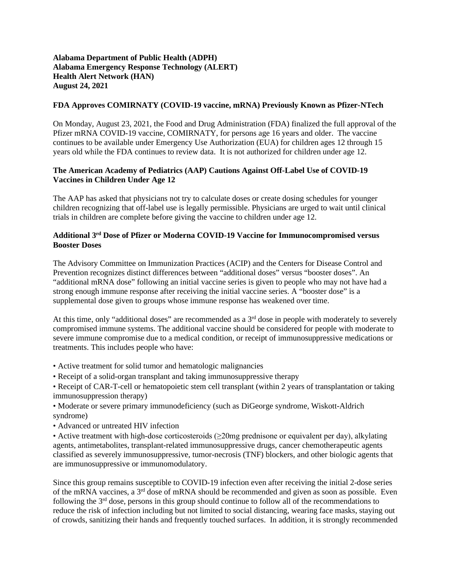## **Alabama Department of Public Health (ADPH) Alabama Emergency Response Technology (ALERT) Health Alert Network (HAN) August 24, 2021**

## **FDA Approves COMIRNATY (COVID-19 vaccine, mRNA) Previously Known as Pfizer-NTech**

On Monday, August 23, 2021, the Food and Drug Administration (FDA) finalized the full approval of the Pfizer mRNA COVID-19 vaccine, COMIRNATY, for persons age 16 years and older. The vaccine continues to be available under Emergency Use Authorization (EUA) for children ages 12 through 15 years old while the FDA continues to review data. It is not authorized for children under age 12.

## **The American Academy of Pediatrics (AAP) Cautions Against Off-Label Use of COVID-19 Vaccines in Children Under Age 12**

The AAP has asked that physicians not try to calculate doses or create dosing schedules for younger children recognizing that off-label use is legally permissible. Physicians are urged to wait until clinical trials in children are complete before giving the vaccine to children under age 12.

## **Additional 3rd Dose of Pfizer or Moderna COVID-19 Vaccine for Immunocompromised versus Booster Doses**

The Advisory Committee on Immunization Practices (ACIP) and the Centers for Disease Control and Prevention recognizes distinct differences between "additional doses" versus "booster doses". An "additional mRNA dose" following an initial vaccine series is given to people who may not have had a strong enough immune response after receiving the initial vaccine series. A "booster dose" is a supplemental dose given to groups whose immune response has weakened over time.

At this time, only "additional doses" are recommended as a  $3<sup>rd</sup>$  dose in people with moderately to severely compromised immune systems. The additional vaccine should be considered for people with moderate to severe immune compromise due to a medical condition, or receipt of immunosuppressive medications or treatments. This includes people who have:

- Active treatment for solid tumor and hematologic malignancies
- Receipt of a solid-organ transplant and taking immunosuppressive therapy

• Receipt of CAR-T-cell or hematopoietic stem cell transplant (within 2 years of transplantation or taking immunosuppression therapy)

- Moderate or severe primary immunodeficiency (such as DiGeorge syndrome, Wiskott-Aldrich syndrome)
- Advanced or untreated HIV infection
- Active treatment with high-dose corticosteroids (≥20mg prednisone or equivalent per day), alkylating agents, antimetabolites, transplant-related immunosuppressive drugs, cancer chemotherapeutic agents classified as severely immunosuppressive, tumor-necrosis (TNF) blockers, and other biologic agents that are immunosuppressive or immunomodulatory.

Since this group remains susceptible to COVID-19 infection even after receiving the initial 2-dose series of the mRNA vaccines, a  $3<sup>rd</sup>$  dose of mRNA should be recommended and given as soon as possible. Even following the  $3<sup>rd</sup>$  dose, persons in this group should continue to follow all of the recommendations to reduce the risk of infection including but not limited to social distancing, wearing face masks, staying out of crowds, sanitizing their hands and frequently touched surfaces. In addition, it is strongly recommended